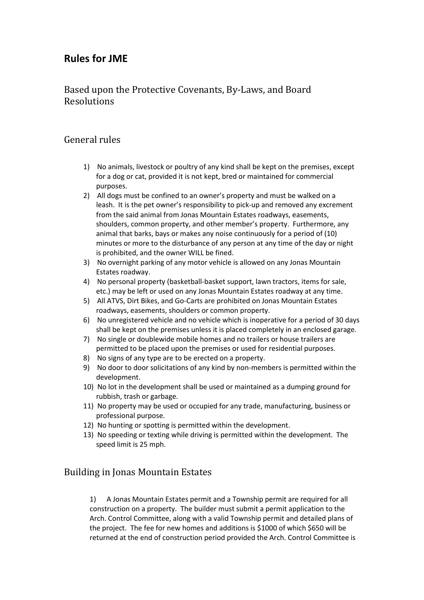## **Rules for JME**

## Based upon the Protective Covenants, By-Laws, and Board Resolutions

## General rules

- 1) No animals, livestock or poultry of any kind shall be kept on the premises, except for a dog or cat, provided it is not kept, bred or maintained for commercial purposes.
- 2) All dogs must be confined to an owner's property and must be walked on a leash. It is the pet owner's responsibility to pick-up and removed any excrement from the said animal from Jonas Mountain Estates roadways, easements, shoulders, common property, and other member's property. Furthermore, any animal that barks, bays or makes any noise continuously for a period of (10) minutes or more to the disturbance of any person at any time of the day or night is prohibited, and the owner WILL be fined.
- 3) No overnight parking of any motor vehicle is allowed on any Jonas Mountain Estates roadway.
- 4) No personal property (basketball-basket support, lawn tractors, items for sale, etc.) may be left or used on any Jonas Mountain Estates roadway at any time.
- 5) All ATVS, Dirt Bikes, and Go-Carts are prohibited on Jonas Mountain Estates roadways, easements, shoulders or common property.
- 6) No unregistered vehicle and no vehicle which is inoperative for a period of 30 days shall be kept on the premises unless it is placed completely in an enclosed garage.
- 7) No single or doublewide mobile homes and no trailers or house trailers are permitted to be placed upon the premises or used for residential purposes.
- 8) No signs of any type are to be erected on a property.
- 9) No door to door solicitations of any kind by non-members is permitted within the development.
- 10) No lot in the development shall be used or maintained as a dumping ground for rubbish, trash or garbage.
- 11) No property may be used or occupied for any trade, manufacturing, business or professional purpose.
- 12) No hunting or spotting is permitted within the development.
- 13) No speeding or texting while driving is permitted within the development. The speed limit is 25 mph.

## Building in Jonas Mountain Estates

1) A Jonas Mountain Estates permit and a Township permit are required for all construction on a property. The builder must submit a permit application to the Arch. Control Committee, along with a valid Township permit and detailed plans of the project. The fee for new homes and additions is \$1000 of which \$650 will be returned at the end of construction period provided the Arch. Control Committee is